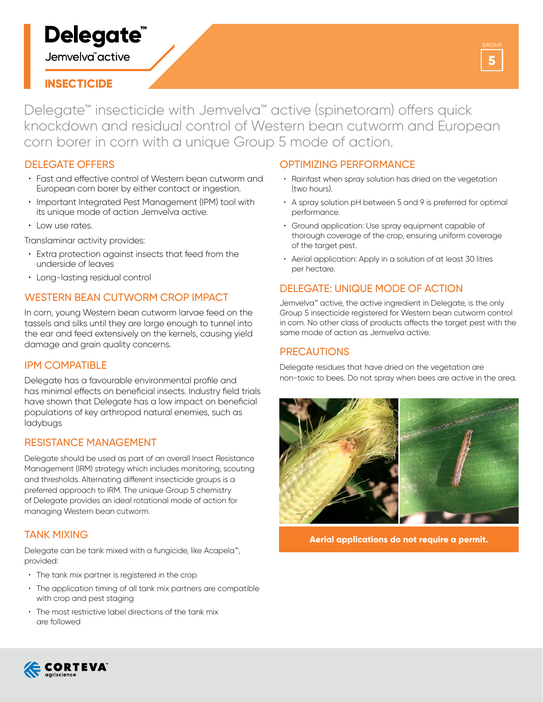# Delegate<sup>®</sup>

Jemvelva<sup>"</sup>active

# **INSECTICIDE**

Delegate™ insecticide with Jemvelva™ active (spinetoram) offers quick knockdown and residual control of Western bean cutworm and European corn borer in corn with a unique Group 5 mode of action.

## DELEGATE OFFERS

- Fast and effective control of Western bean cutworm and European corn borer by either contact or ingestion.
- Important Integrated Pest Management (IPM) tool with its unique mode of action Jemvelva active.
- Low use rates.

Translaminar activity provides:

- Extra protection against insects that feed from the underside of leaves
- Long-lasting residual control

# WESTERN BEAN CUTWORM CROP IMPACT

In corn, young Western bean cutworm larvae feed on the tassels and silks until they are large enough to tunnel into the ear and feed extensively on the kernels, causing yield damage and grain quality concerns.

#### IPM COMPATIBLE

Delegate has a favourable environmental profile and has minimal effects on beneficial insects. Industry field trials have shown that Delegate has a low impact on beneficial populations of key arthropod natural enemies, such as ladybugs

#### RESISTANCE MANAGEMENT

Delegate should be used as part of an overall Insect Resistance Management (IRM) strategy which includes monitoring, scouting and thresholds. Alternating different insecticide groups is a preferred approach to IRM. The unique Group 5 chemistry of Delegate provides an ideal rotational mode of action for managing Western bean cutworm.

#### TANK MIXING

Delegate can be tank mixed with a fungicide, like Acapela™, provided:

- The tank mix partner is registered in the crop
- The application timing of all tank mix partners are compatible with crop and pest staging
- The most restrictive label directions of the tank mix are followed

## OPTIMIZING PERFORMANCE

- Rainfast when spray solution has dried on the vegetation (two hours).
- A spray solution pH between 5 and 9 is preferred for optimal performance.
- Ground application: Use spray equipment capable of thorough coverage of the crop, ensuring uniform coverage of the target pest.
- Aerial application: Apply in a solution of at least 30 litres per hectare.

## DELEGATE: UNIQUE MODE OF ACTION

Jemvelva™ active, the active ingredient in Delegate, is the only Group 5 insecticide registered for Western bean cutworm control in corn. No other class of products affects the target pest with the same mode of action as Jemvelva active.

#### PRECAUTIONS

Delegate residues that have dried on the vegetation are non-toxic to bees. Do not spray when bees are active in the area.



**Aerial applications do not require a permit.**